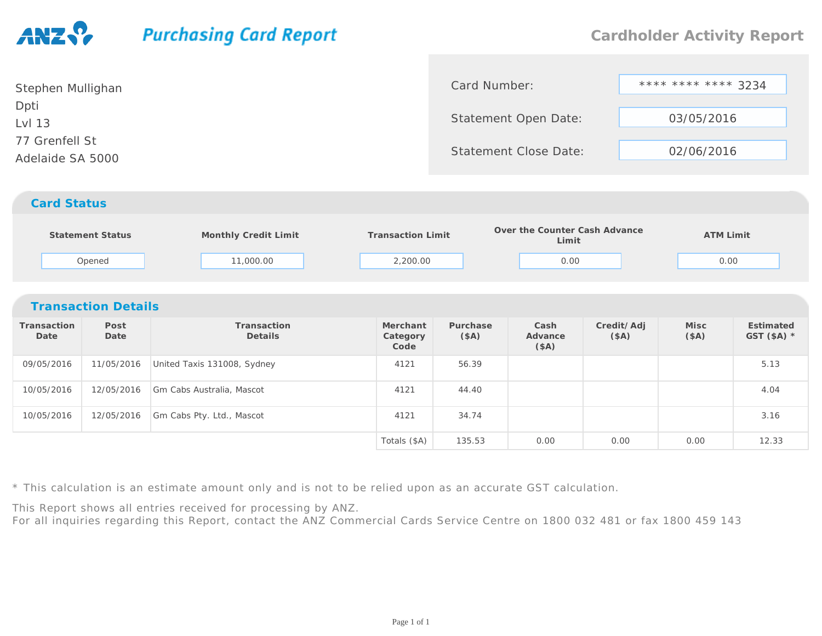## **Purchasing Card Report**

0.00 0.00 0.00 12.33

**EstimatedGST (\$A) \***

| Stephen Mullighan | Card Number:                 | **** **** **** 3234 |  |
|-------------------|------------------------------|---------------------|--|
| Dpti              |                              |                     |  |
| Lvl 13            | Statement Open Date:         | 03/05/2016          |  |
| 77 Grenfell St    |                              |                     |  |
| Adelaide SA 5000  | <b>Statement Close Date:</b> | 02/06/2016          |  |
|                   |                              |                     |  |
|                   |                              |                     |  |

## *Card Status*

| Statement Status | Monthly Credit Limit | <b>Transaction Limit</b> | Over the Counter Cash Advance<br>Limit | <b>ATM Limit</b> |
|------------------|----------------------|--------------------------|----------------------------------------|------------------|
| Opened           | 11,000.00            | 2,200.00                 | 0.00                                   | 0.00             |

## *Transaction Details***Transaction DatePost DateTransactionDetailsMerchant CategoryCodePurchase(\$A)Cash Advance(\$A)Credit/Adj(\$A)Misc (\$A)**09/05/201611/05/2016 United Taxis 131008, Sydney 1991 121 4121 56.39 5.13 10/05/2016 12/05/2016 Gm Cabs Australia, Mascot <sup>4121</sup> 44.40 4.04 10/05/201612/05/2016 Gm Cabs Pty. Ltd., Mascot <sup>4121</sup> 34.74 3.16

\* This calculation is an estimate amount only and is not to be relied upon as an accurate GST calculation.

This Report shows all entries received for processing by ANZ.

For all inquiries regarding this Report, contact the ANZ Commercial Cards Service Centre on 1800 032 481 or fax 1800 459 143

Totals (\$A)

135.53